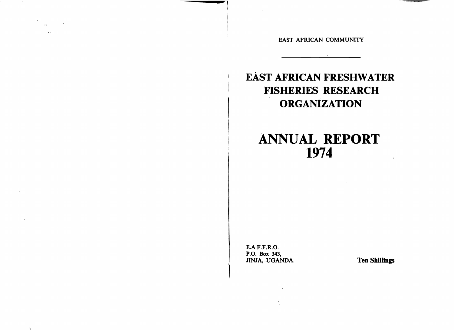EAST AFRICAN COMMUNITY

## EAST AFRICAN FRESHWATER **FISHERIES RESEARCH ORGANIZATION**

# **ANNUAL REPORT** 1974

**E.A.F.F.R.O.** P.O. Box 343, JINJA, UGANDA.

 $\bullet$ 

 $\mathbf{r}_{\mathrm{d}}$  .

 $\rightarrow$ 

 $\frac{1}{\sqrt{2}}$  ,  $\frac{1}{\sqrt{2}}$  ,  $\frac{1}{\sqrt{2}}$  ,  $\frac{1}{\sqrt{2}}$  $\sim 100$  km  $^{-1}$  .

**Ten Shillings**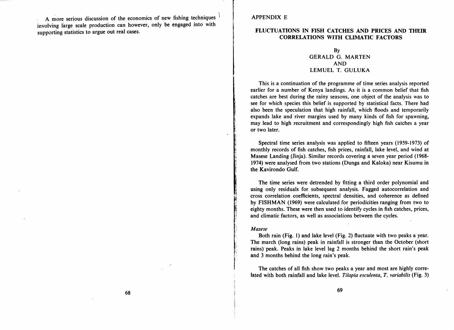A more serious discussion of the economics of new fishing techniques involving large scale production can however, only be engaged into with supporting statistics to argue out real cases.

#### APPENDIX E

#### FLUCTUATIONS IN FISH CATCHES AND PRICES AND THEIR CORRELATIONS WITH CLIMATIC FACTORS

### By GERALD G. MARTEN AND LEMUEL T. GULUKA

This is a continuation of the programme of time series analysis reported earlier for a number of Kenya landings. As it is a common belief that fish catches are best during the rainy seasons, one object of the analysis was to see for which species this belief is supported by statistical facts. There had also been the speculation that high rainfall, which floods and temporarily expands lake and river margins used by many kinds of fish for spawning, may lead to high recruitment and correspondingly high fish catches a year or two later.

Spectral time series analysis was applied to fifteen years (1959-1973) of monthly records of fish catches, fish prices, rainfall, lake level, and wind at Masese Landing (Jinja). Similar records covering a seven year period (1968-1974) were analysed from two stations (Dunga and Kaloka) near Kisumu in the Kavirondo Gulf.

The time series were detrended by fitting a third order polynomial and using only residuals for subsequent analysis. Fagged autocorrelation and cross correlation coefficients, spectral densities, and coherence as defined by FISHMAN (1969) were calculated for periodicities ranging from two to eighty months. These were then used to identify cycles in fish catches, prices, and climatic factors, as well as associations between the cycles.

#### *Masese*

Both rain (Fig. 1) and lake level (Fig. 2) fluctuate with two peaks a year. The march (long rains) peak in rainfall is stronger than the October (short rains) peak. Peaks in lake level lag 2 months behind the short rain's peak and 3 months behind the long rain's peak.

The catches of all fish show two peaks a year and most are highly correlated with both rainfall and lake level. *Tilapia esculenta*, *T. variabilis* (Fig. 3)

)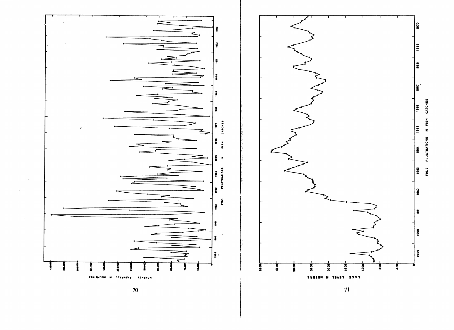

SSNISHITIN NI TIVANIVU ATHINON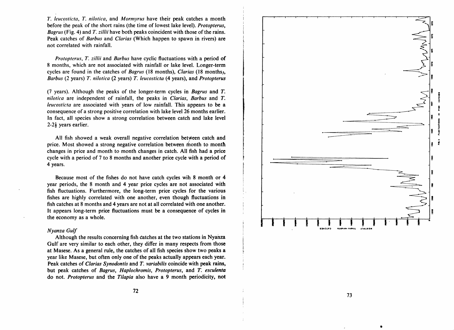T. *leucosticta,* T. *nilotica,* and *Mormyrus* have their peak catches a month before the peak of the short rains (the time of lowest lake level). *Protopterus, Bagrus* (Fig. 4) and *T. zillii* have both peaks coincident with those of the rains. Peak catches of *Barbus* and *Clarias* (Which happen to spawn in rivers) are not correlated with rainfall.

*Protopterus,* T. *zillii* and *Barbus* have cyclic fluctuations with a period of 8 months, which are not associated with rainfall or lake level. Longer-term cycles are found in the catches of *Bagrus* (18 months), *Clarias* (18 months), *Barbus* (2 years) T. *nilotica* (2 years) T. *leucosticta* (4 years), and *Protopterus* 

(7 years). Although the peaks of the longer-term cycles in *Bagrus* and T. *nilotica* are independent of rainfall, the peaks in *Clarias*, *Barbus* and *T*. *leucosticta* are associated with years of low rainfall. This appears to be a consequence of a strong positive correlation with lake level 26 months earlier. In fact, all species show a strong correlation between catch and lake level  $2-2\frac{1}{2}$  years earlier.

All fish showed a weak overall negative correlation between catch and price. Most showed a strong negative correlation between month to month changes in price and month to month changes in catch. All fish had a price cycle with a period of 7 to 8 months and another price cycle with a period of 4 years.

Because most of the fishes do not have catch cycles wih 8 month or 4 year periods, the 8 month and 4 year price cycles are not associated with fish fluctuations. Furthermore, the long-term price cycles for the various fishes are highly correlated with one another, even though fluctuations in fish catches at 8 months and 4 years are not at all correlated with one another. It appears long-term price fluctuations must be a consequence of cycles in the economy as a whole.

#### *Nyanza Gulf*

Although the results concerning fish catches at the two stations in Nyahza Gulf are very similar to each other, they differ in many respects from those at Masese. As a general rule, the catches of all fish species show two peaks a year like Masese, but often only one of the peaks actually appears each year. Peak catches of *Clarias Synodontis* and T. *variabilis* coincide with peak rains, but peak catches of *Bagrus, Hap*10*chromis, Protopterus*, and T. *esculenta*  do not. *Protopterus* and the *Tilapia* also have a 9 month periodicity, not



•